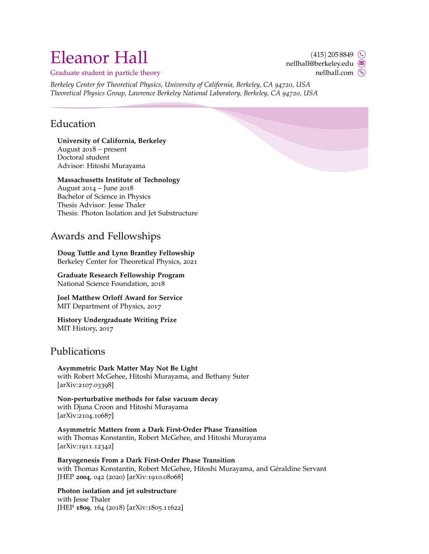# Eleanor Hall

Graduate student in particle theory

 $(415)$  205 8849  $\odot$ [nellhall@berkeley.edu](mailto:nellhall@berkeley.edu)  $\blacktriangleright$ [nellhall.com](http://www.nellhall.com) ®

*Berkeley Center for Theoretical Physics, University of California, Berkeley, CA 94720, USA Theoretical Physics Group, Lawrence Berkeley National Laboratory, Berkeley, CA 94720, USA*

# Education

**University of California, Berkeley** August 2018 – present Doctoral student Advisor: Hitoshi Murayama

#### **Massachusetts Institute of Technology**

August 2014 – June 2018 Bachelor of Science in Physics Thesis Advisor: Jesse Thaler Thesis: Photon Isolation and Jet Substructure

# Awards and Fellowships

**Doug Tuttle and Lynn Brantley Fellowship** Berkeley Center for Theoretical Physics, 2021

**Graduate Research Fellowship Program** National Science Foundation, 2018

**Joel Matthew Orloff Award for Service** MIT Department of Physics, 2017

**History Undergraduate Writing Prize** MIT History, 2017

# Publications

**Asymmetric Dark Matter May Not Be Light** with Robert McGehee, Hitoshi Murayama, and Bethany Suter [\[arXiv:](https://arxiv.org/abs/2107.03398)2107.03398]

**Non-perturbative methods for false vacuum decay** with Djuna Croon and Hitoshi Murayama [\[arXiv:](https://arxiv.org/abs/1911.12342)2104.10687]

**Asymmetric Matters from a Dark First-Order Phase Transition** with Thomas Konstantin, Robert McGehee, and Hitoshi Murayama [\[arXiv:](https://arxiv.org/abs/1911.12342)1911.12342]

**Baryogenesis From a Dark First-Order Phase Transition** with Thomas Konstantin, Robert McGehee, Hitoshi Murayama, and Géraldine Servant JHEP **2004**, 042 (2020) [\[arXiv:](https://arxiv.org/abs/1910.08068)1910.08068]

## **Photon isolation and jet substructure**

with Jesse Thaler JHEP **1809**, 164 (2018) [\[arXiv:](https://arxiv.org/abs/1805.11622)1805.11622]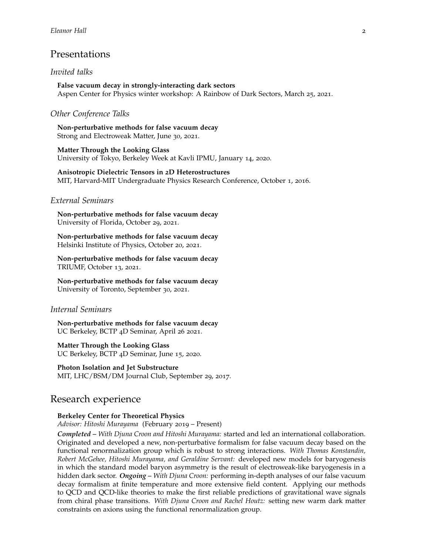## Presentations

#### *Invited talks*

**False vacuum decay in strongly-interacting dark sectors** Aspen Center for Physics winter workshop: A Rainbow of Dark Sectors, March 25, 2021.

#### *Other Conference Talks*

**Non-perturbative methods for false vacuum decay** Strong and Electroweak Matter, June 30, 2021.

**Matter Through the Looking Glass** University of Tokyo, Berkeley Week at Kavli IPMU, January 14, 2020.

**Anisotropic Dielectric Tensors in 2D Heterostructures** MIT, Harvard-MIT Undergraduate Physics Research Conference, October 1, 2016.

#### *External Seminars*

**Non-perturbative methods for false vacuum decay** University of Florida, October 29, 2021.

**Non-perturbative methods for false vacuum decay** Helsinki Institute of Physics, October 20, 2021.

**Non-perturbative methods for false vacuum decay** TRIUMF, October 13, 2021.

**Non-perturbative methods for false vacuum decay** University of Toronto, September 30, 2021.

#### *Internal Seminars*

**Non-perturbative methods for false vacuum decay** UC Berkeley, BCTP 4D Seminar, April 26 2021.

**Matter Through the Looking Glass** UC Berkeley, BCTP 4D Seminar, June 15, 2020.

**Photon Isolation and Jet Substructure** MIT, LHC/BSM/DM Journal Club, September 29, 2017.

### Research experience

#### **Berkeley Center for Theoretical Physics**

*Advisor: Hitoshi Murayama* (February 2019 – Present)

*Completed – With Djuna Croon and Hitoshi Murayama:* started and led an international collaboration. Originated and developed a new, non-perturbative formalism for false vacuum decay based on the functional renormalization group which is robust to strong interactions. *With Thomas Konstandin, Robert McGehee, Hitoshi Murayama, and Geraldine Servant:* developed new models for baryogenesis in which the standard model baryon asymmetry is the result of electroweak-like baryogenesis in a hidden dark sector. *Ongoing – With Djuna Croon:* performing in-depth analyses of our false vacuum decay formalism at finite temperature and more extensive field content. Applying our methods to QCD and QCD-like theories to make the first reliable predictions of gravitational wave signals from chiral phase transitions. *With Djuna Croon and Rachel Houtz:* setting new warm dark matter constraints on axions using the functional renormalization group.